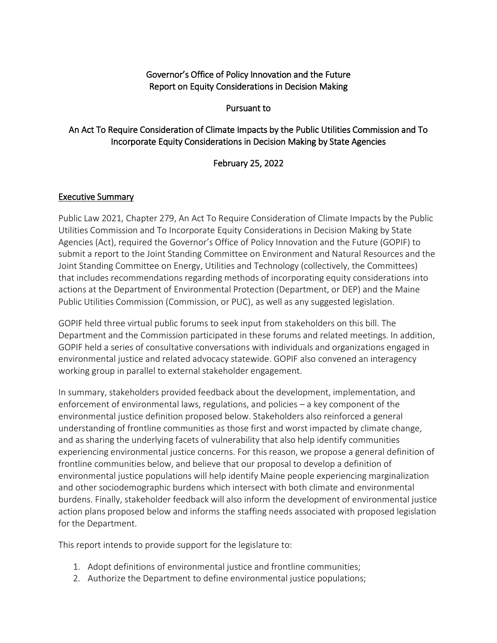### Governor's Office of Policy Innovation and the Future Report on Equity Considerations in Decision Making

#### Pursuant to

### An Act To Require Consideration of Climate Impacts by the Public Utilities Commission and To Incorporate Equity Considerations in Decision Making by State Agencies

#### February 25, 2022

#### Executive Summary

Public Law 2021, Chapter 279, An Act To Require Consideration of Climate Impacts by the Public Utilities Commission and To Incorporate Equity Considerations in Decision Making by State Agencies (Act), required the Governor's Office of Policy Innovation and the Future (GOPIF) to submit a report to the Joint Standing Committee on Environment and Natural Resources and the Joint Standing Committee on Energy, Utilities and Technology (collectively, the Committees) that includes recommendations regarding methods of incorporating equity considerations into actions at the Department of Environmental Protection (Department, or DEP) and the Maine Public Utilities Commission (Commission, or PUC), as well as any suggested legislation.

GOPIF held three virtual public forums to seek input from stakeholders on this bill. The Department and the Commission participated in these forums and related meetings. In addition, GOPIF held a series of consultative conversations with individuals and organizations engaged in environmental justice and related advocacy statewide. GOPIF also convened an interagency working group in parallel to external stakeholder engagement.

In summary, stakeholders provided feedback about the development, implementation, and enforcement of environmental laws, regulations, and policies – a key component of the environmental justice definition proposed below. Stakeholders also reinforced a general understanding of frontline communities as those first and worst impacted by climate change, and as sharing the underlying facets of vulnerability that also help identify communities experiencing environmental justice concerns. For this reason, we propose a general definition of frontline communities below, and believe that our proposal to develop a definition of environmental justice populations will help identify Maine people experiencing marginalization and other sociodemographic burdens which intersect with both climate and environmental burdens. Finally, stakeholder feedback will also inform the development of environmental justice action plans proposed below and informs the staffing needs associated with proposed legislation for the Department.

This report intends to provide support for the legislature to:

- 1. Adopt definitions of environmental justice and frontline communities;
- 2. Authorize the Department to define environmental justice populations;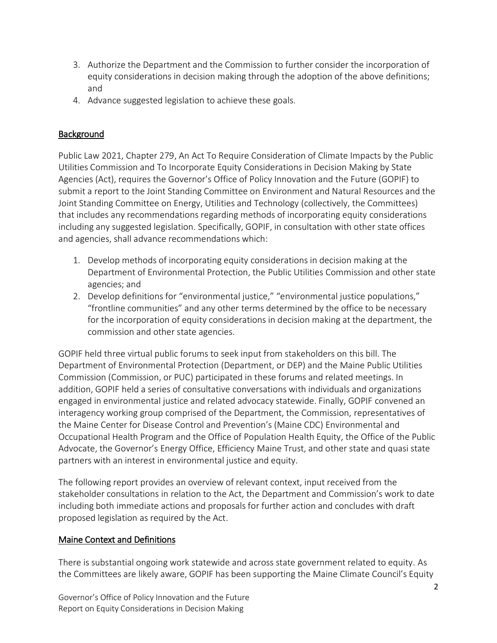- 3. Authorize the Department and the Commission to further consider the incorporation of equity considerations in decision making through the adoption of the above definitions; and
- 4. Advance suggested legislation to achieve these goals.

# **Background**

Public Law 2021, Chapter 279, An Act To Require Consideration of Climate Impacts by the Public Utilities Commission and To Incorporate Equity Considerations in Decision Making by State Agencies (Act), requires the Governor's Office of Policy Innovation and the Future (GOPIF) to submit a report to the Joint Standing Committee on Environment and Natural Resources and the Joint Standing Committee on Energy, Utilities and Technology (collectively, the Committees) that includes any recommendations regarding methods of incorporating equity considerations including any suggested legislation. Specifically, GOPIF, in consultation with other state offices and agencies, shall advance recommendations which:

- 1. Develop methods of incorporating equity considerations in decision making at the Department of Environmental Protection, the Public Utilities Commission and other state agencies; and
- 2. Develop definitions for "environmental justice," "environmental justice populations," "frontline communities" and any other terms determined by the office to be necessary for the incorporation of equity considerations in decision making at the department, the commission and other state agencies.

GOPIF held three virtual public forums to seek input from stakeholders on this bill. The Department of Environmental Protection (Department, or DEP) and the Maine Public Utilities Commission (Commission, or PUC) participated in these forums and related meetings. In addition, GOPIF held a series of consultative conversations with individuals and organizations engaged in environmental justice and related advocacy statewide. Finally, GOPIF convened an interagency working group comprised of the Department, the Commission, representatives of the Maine Center for Disease Control and Prevention's (Maine CDC) Environmental and Occupational Health Program and the Office of Population Health Equity, the Office of the Public Advocate, the Governor's Energy Office, Efficiency Maine Trust, and other state and quasi state partners with an interest in environmental justice and equity.

The following report provides an overview of relevant context, input received from the stakeholder consultations in relation to the Act, the Department and Commission's work to date including both immediate actions and proposals for further action and concludes with draft proposed legislation as required by the Act.

### Maine Context and Definitions

There is substantial ongoing work statewide and across state government related to equity. As the Committees are likely aware, GOPIF has been supporting the Maine Climate Council's Equity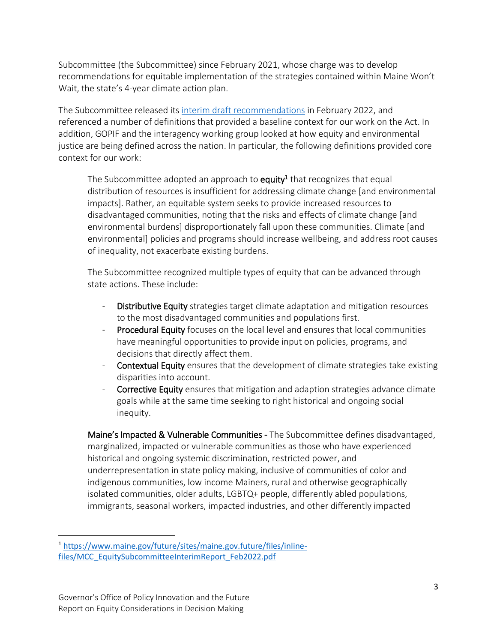Subcommittee (the Subcommittee) since February 2021, whose charge was to develop recommendations for equitable implementation of the strategies contained within Maine Won't Wait, the state's 4-year climate action plan.

The Subcommittee released its [interim draft recommendations](https://www.maine.gov/future/initiatives/climate/climate-council/equity-subcommittee) in February 2022, and referenced a number of definitions that provided a baseline context for our work on the Act. In addition, GOPIF and the interagency working group looked at how equity and environmental justice are being defined across the nation. In particular, the following definitions provided core context for our work:

The Subcommittee adopted an approach to **equity<sup>1</sup>** that recognizes that equal distribution of resources is insufficient for addressing climate change [and environmental impacts]. Rather, an equitable system seeks to provide increased resources to disadvantaged communities, noting that the risks and effects of climate change [and environmental burdens] disproportionately fall upon these communities. Climate [and environmental] policies and programs should increase wellbeing, and address root causes of inequality, not exacerbate existing burdens.

The Subcommittee recognized multiple types of equity that can be advanced through state actions. These include:

- Distributive Equity strategies target climate adaptation and mitigation resources to the most disadvantaged communities and populations first.
- Procedural Equity focuses on the local level and ensures that local communities have meaningful opportunities to provide input on policies, programs, and decisions that directly affect them.
- Contextual Equity ensures that the development of climate strategies take existing disparities into account.
- Corrective Equity ensures that mitigation and adaption strategies advance climate goals while at the same time seeking to right historical and ongoing social inequity.

Maine's Impacted & Vulnerable Communities - The Subcommittee defines disadvantaged, marginalized, impacted or vulnerable communities as those who have experienced historical and ongoing systemic discrimination, restricted power, and underrepresentation in state policy making, inclusive of communities of color and indigenous communities, low income Mainers, rural and otherwise geographically isolated communities, older adults, LGBTQ+ people, differently abled populations, immigrants, seasonal workers, impacted industries, and other differently impacted

 $\overline{a}$ <sup>1</sup> [https://www.maine.gov/future/sites/maine.gov.future/files/inline](https://www.maine.gov/future/sites/maine.gov.future/files/inline-files/MCC_EquitySubcommitteeInterimReport_Feb2022.pdf)[files/MCC\\_EquitySubcommitteeInterimReport\\_Feb2022.pdf](https://www.maine.gov/future/sites/maine.gov.future/files/inline-files/MCC_EquitySubcommitteeInterimReport_Feb2022.pdf)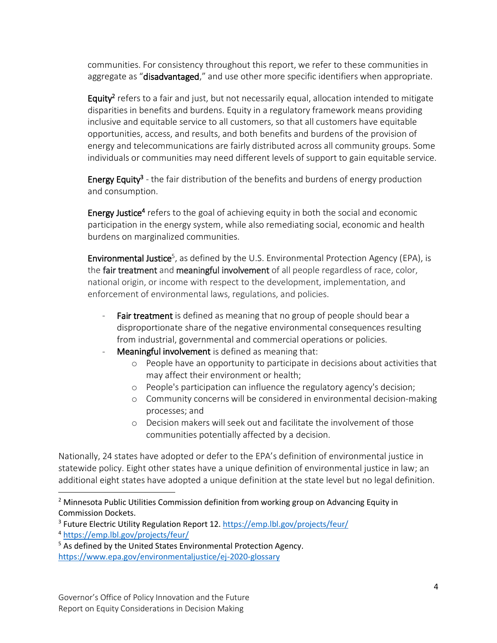communities. For consistency throughout this report, we refer to these communities in aggregate as "**disadvantaged**," and use other more specific identifiers when appropriate.

Equity<sup>2</sup> refers to a fair and just, but not necessarily equal, allocation intended to mitigate disparities in benefits and burdens. Equity in a regulatory framework means providing inclusive and equitable service to all customers, so that all customers have equitable opportunities, access, and results, and both benefits and burdens of the provision of energy and telecommunications are fairly distributed across all community groups. Some individuals or communities may need different levels of support to gain equitable service.

Energy Equity<sup>3</sup> - the fair distribution of the benefits and burdens of energy production and consumption.

Energy Justice<sup>4</sup> refers to the goal of achieving equity in both the social and economic participation in the energy system, while also remediating social, economic and health burdens on marginalized communities.

Environmental Justice<sup>5</sup>, as defined by the U.S. Environmental Protection Agency (EPA), is the fair treatment and meaningful involvement of all people regardless of race, color, national origin, or income with respect to the development, implementation, and enforcement of environmental laws, regulations, and policies.

- Fair treatment is defined as meaning that no group of people should bear a disproportionate share of the negative environmental consequences resulting from industrial, governmental and commercial operations or policies.
- Meaningful involvement is defined as meaning that:
	- o People have an opportunity to participate in decisions about activities that may affect their environment or health;
	- o People's participation can influence the regulatory agency's decision;
	- o Community concerns will be considered in environmental decision-making processes; and
	- o Decision makers will seek out and facilitate the involvement of those communities potentially affected by a decision.

Nationally, 24 states have adopted or defer to the EPA's definition of environmental justice in statewide policy. Eight other states have a unique definition of environmental justice in law; an additional eight states have adopted a unique definition at the state level but no legal definition.

 $\overline{\phantom{a}}$ 

<sup>&</sup>lt;sup>2</sup> Minnesota Public Utilities Commission definition from working group on Advancing Equity in Commission Dockets.

<sup>&</sup>lt;sup>3</sup> Future Electric Utility Regulation Report 12[. https://emp.lbl.gov/projects/feur/](https://emp.lbl.gov/projects/feur/)

<sup>4</sup> <https://emp.lbl.gov/projects/feur/>

<sup>&</sup>lt;sup>5</sup> As defined by the United States Environmental Protection Agency. <https://www.epa.gov/environmentaljustice/ej-2020-glossary>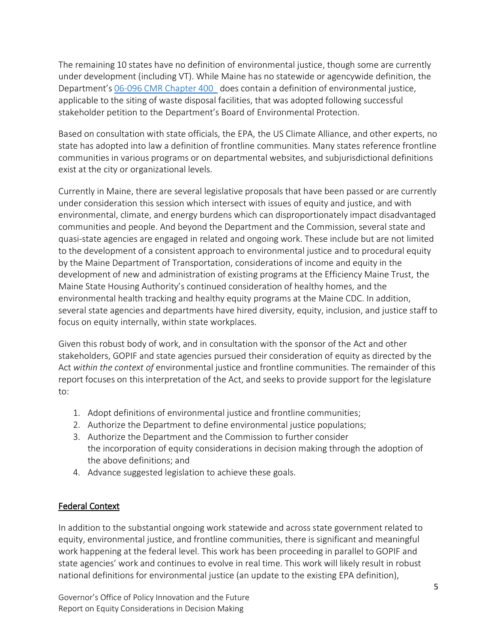The remaining 10 states have no definition of environmental justice, though some are currently under development (including VT). While Maine has no statewide or agencywide definition, the Department's [06-096 CMR Chapter 400](https://www.maine.gov/sos/cec/rules/06/096/096c400.docx) does contain a definition of environmental justice, applicable to the siting of waste disposal facilities, that was adopted following successful stakeholder petition to the Department's Board of Environmental Protection.

Based on consultation with state officials, the EPA, the US Climate Alliance, and other experts, no state has adopted into law a definition of frontline communities. Many states reference frontline communities in various programs or on departmental websites, and subjurisdictional definitions exist at the city or organizational levels.

Currently in Maine, there are several legislative proposals that have been passed or are currently under consideration this session which intersect with issues of equity and justice, and with environmental, climate, and energy burdens which can disproportionately impact disadvantaged communities and people. And beyond the Department and the Commission, several state and quasi-state agencies are engaged in related and ongoing work. These include but are not limited to the development of a consistent approach to environmental justice and to procedural equity by the Maine Department of Transportation, considerations of income and equity in the development of new and administration of existing programs at the Efficiency Maine Trust, the Maine State Housing Authority's continued consideration of healthy homes, and the environmental health tracking and healthy equity programs at the Maine CDC. In addition, several state agencies and departments have hired diversity, equity, inclusion, and justice staff to focus on equity internally, within state workplaces.

Given this robust body of work, and in consultation with the sponsor of the Act and other stakeholders, GOPIF and state agencies pursued their consideration of equity as directed by the Act *within the context of* environmental justice and frontline communities. The remainder of this report focuses on this interpretation of the Act, and seeks to provide support for the legislature to:

- 1. Adopt definitions of environmental justice and frontline communities;
- 2. Authorize the Department to define environmental justice populations;
- 3. Authorize the Department and the Commission to further consider the incorporation of equity considerations in decision making through the adoption of the above definitions; and
- 4. Advance suggested legislation to achieve these goals.

### Federal Context

In addition to the substantial ongoing work statewide and across state government related to equity, environmental justice, and frontline communities, there is significant and meaningful work happening at the federal level. This work has been proceeding in parallel to GOPIF and state agencies' work and continues to evolve in real time. This work will likely result in robust national definitions for environmental justice (an update to the existing EPA definition),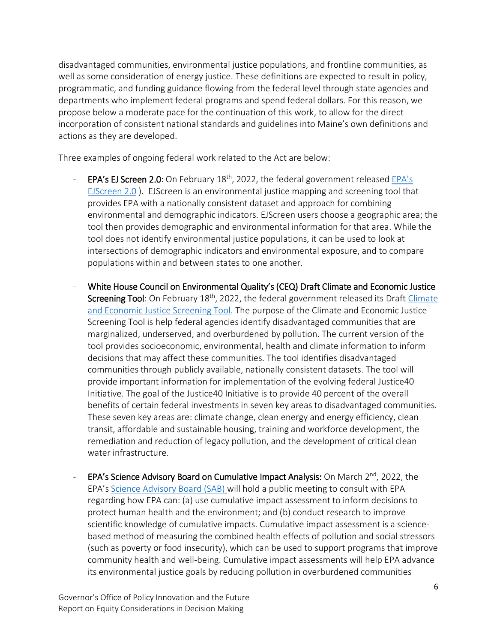disadvantaged communities, environmental justice populations, and frontline communities, as well as some consideration of energy justice. These definitions are expected to result in policy, programmatic, and funding guidance flowing from the federal level through state agencies and departments who implement federal programs and spend federal dollars. For this reason, we propose below a moderate pace for the continuation of this work, to allow for the direct incorporation of consistent national standards and guidelines into Maine's own definitions and actions as they are developed.

Three examples of ongoing federal work related to the Act are below:

- [EPA's](https://ejscreen.epa.gov/mapper/) EJ Screen 2.0: On February  $18<sup>th</sup>$ , 2022, the federal government released EPA's [EJScreen 2.0](https://ejscreen.epa.gov/mapper/) ). EJScreen is an environmental justice mapping and screening tool that provides EPA with a nationally consistent dataset and approach for combining environmental and demographic indicators. EJScreen users choose a geographic area; the tool then provides demographic and environmental information for that area. While the tool does not identify environmental justice populations, it can be used to look at intersections of demographic indicators and environmental exposure, and to compare populations within and between states to one another.
- White House Council on Environmental Quality's (CEQ) Draft Climate and Economic Justice Screening Tool: On February 18<sup>th</sup>, 2022, the federal government released its Draft Climate [and Economic Justice Screening Tool.](https://screeningtool.geoplatform.gov/en/) The purpose of the Climate and Economic Justice Screening Tool is help federal agencies identify disadvantaged communities that are marginalized, underserved, and overburdened by pollution. The current version of the tool provides socioeconomic, environmental, health and climate information to inform decisions that may affect these communities. The tool identifies disadvantaged communities through publicly available, nationally consistent datasets. The tool will provide important information for implementation of the evolving federal Justice40 Initiative. The goal of the Justice40 Initiative is to provide 40 percent of the overall benefits of certain federal investments in seven key areas to disadvantaged communities. These seven key areas are: climate change, clean energy and energy efficiency, clean transit, affordable and sustainable housing, training and workforce development, the remediation and reduction of legacy pollution, and the development of critical clean water infrastructure.
- EPA's Science Advisory Board on Cumulative Impact Analysis: On March  $2^{nd}$ , 2022, the EPA's [Science Advisory Board \(SAB\)](https://gcc02.safelinks.protection.outlook.com/?url=https%3A%2F%2Fsab.epa.gov%2Fords%2Fsab%2Ff%3Fp%3D100%3A1%3A%3A%3A%3A%3A%3A&data=04%7C01%7CJessica.P.Scott%40maine.gov%7C64985dd7183d4bf4559f08d9f246f0f9%7C413fa8ab207d4b629bcdea1a8f2f864e%7C0%7C0%7C637807208778308783%7CUnknown%7CTWFpbGZsb3d8eyJWIjoiMC4wLjAwMDAiLCJQIjoiV2luMzIiLCJBTiI6Ik1haWwiLCJXVCI6Mn0%3D%7C3000&sdata=vHXObZ%2BsHLvIFrE3uwHbtQJD2qbZQlyVdGqDAsTfdZo%3D&reserved=0) will hold a public meeting to consult with EPA regarding how EPA can: (a) use cumulative impact assessment to inform decisions to protect human health and the environment; and (b) conduct research to improve scientific knowledge of cumulative impacts. Cumulative impact assessment is a sciencebased method of measuring the combined health effects of pollution and social stressors (such as poverty or food insecurity), which can be used to support programs that improve community health and well-being. Cumulative impact assessments will help EPA advance its environmental justice goals by reducing pollution in overburdened communities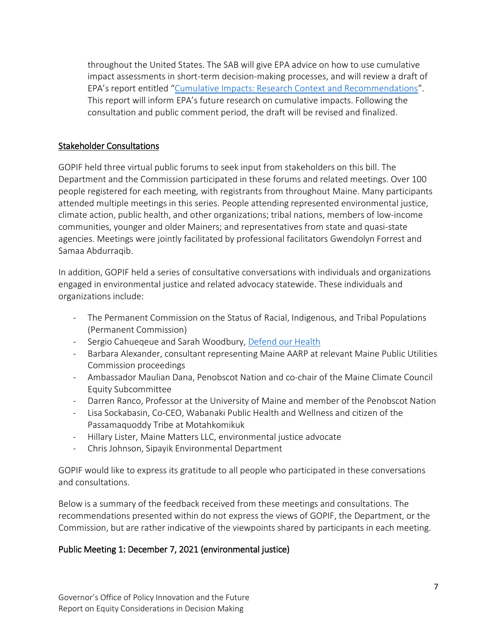throughout the United States. The SAB will give EPA advice on how to use cumulative impact assessments in short-term decision-making processes, and will review a draft of EPA's report entitled "[Cumulative Impacts: Research Context and Recommendations](https://gcc02.safelinks.protection.outlook.com/?url=https%3A%2F%2Fcfpub.epa.gov%2Fsi%2Fsi_public_record_Report.cfm%3FdirEntryId%3D354028%26Lab%3DCPHEA&data=04%7C01%7CJessica.P.Scott%40maine.gov%7C64985dd7183d4bf4559f08d9f246f0f9%7C413fa8ab207d4b629bcdea1a8f2f864e%7C0%7C0%7C637807208778308783%7CUnknown%7CTWFpbGZsb3d8eyJWIjoiMC4wLjAwMDAiLCJQIjoiV2luMzIiLCJBTiI6Ik1haWwiLCJXVCI6Mn0%3D%7C3000&sdata=N5UIzU5eYFjb%2BIV8IlPAqIXIjK3RUzZzYyramIYU%2FHc%3D&reserved=0)". This report will inform EPA's future research on cumulative impacts. Following the consultation and public comment period, the draft will be revised and finalized.

### Stakeholder Consultations

GOPIF held three virtual public forums to seek input from stakeholders on this bill. The Department and the Commission participated in these forums and related meetings. Over 100 people registered for each meeting, with registrants from throughout Maine. Many participants attended multiple meetings in this series. People attending represented environmental justice, climate action, public health, and other organizations; tribal nations, members of low-income communities, younger and older Mainers; and representatives from state and quasi-state agencies. Meetings were jointly facilitated by professional facilitators Gwendolyn Forrest and Samaa Abdurraqib.

In addition, GOPIF held a series of consultative conversations with individuals and organizations engaged in environmental justice and related advocacy statewide. These individuals and organizations include:

- The Permanent Commission on the Status of Racial, Indigenous, and Tribal Populations (Permanent Commission)
- Sergio Cahueqeue and Sarah Woodbury, [Defend our Health](https://defendourhealth.org/)
- Barbara Alexander, consultant representing Maine AARP at relevant Maine Public Utilities Commission proceedings
- Ambassador Maulian Dana, Penobscot Nation and co-chair of the Maine Climate Council Equity Subcommittee
- Darren Ranco, Professor at the University of Maine and member of the Penobscot Nation
- Lisa Sockabasin, Co-CEO, Wabanaki Public Health and Wellness and citizen of the Passamaquoddy Tribe at Motahkomikuk
- Hillary Lister, Maine Matters LLC, environmental justice advocate
- Chris Johnson, Sipayik Environmental Department

GOPIF would like to express its gratitude to all people who participated in these conversations and consultations.

Below is a summary of the feedback received from these meetings and consultations. The recommendations presented within do not express the views of GOPIF, the Department, or the Commission, but are rather indicative of the viewpoints shared by participants in each meeting.

# Public Meeting 1: December 7, 2021 (environmental justice)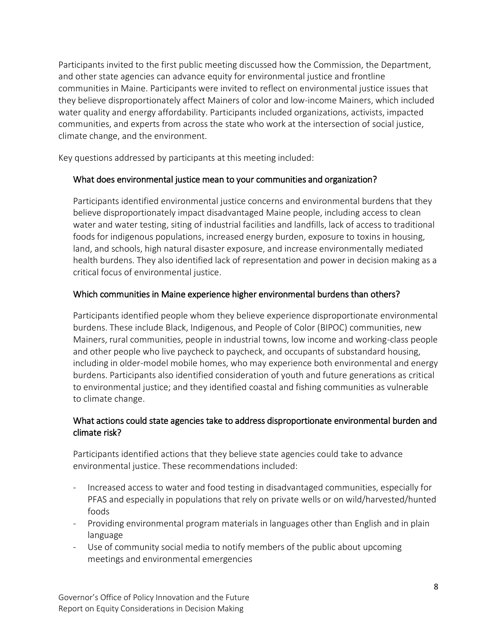Participants invited to the first public meeting discussed how the Commission, the Department, and other state agencies can advance equity for environmental justice and frontline communities in Maine. Participants were invited to reflect on environmental justice issues that they believe disproportionately affect Mainers of color and low-income Mainers, which included water quality and energy affordability. Participants included organizations, activists, impacted communities, and experts from across the state who work at the intersection of social justice, climate change, and the environment.

Key questions addressed by participants at this meeting included:

# What does environmental justice mean to your communities and organization?

Participants identified environmental justice concerns and environmental burdens that they believe disproportionately impact disadvantaged Maine people, including access to clean water and water testing, siting of industrial facilities and landfills, lack of access to traditional foods for indigenous populations, increased energy burden, exposure to toxins in housing, land, and schools, high natural disaster exposure, and increase environmentally mediated health burdens. They also identified lack of representation and power in decision making as a critical focus of environmental justice.

## Which communities in Maine experience higher environmental burdens than others?

Participants identified people whom they believe experience disproportionate environmental burdens. These include Black, Indigenous, and People of Color (BIPOC) communities, new Mainers, rural communities, people in industrial towns, low income and working-class people and other people who live paycheck to paycheck, and occupants of substandard housing, including in older-model mobile homes, who may experience both environmental and energy burdens. Participants also identified consideration of youth and future generations as critical to environmental justice; and they identified coastal and fishing communities as vulnerable to climate change.

# What actions could state agencies take to address disproportionate environmental burden and climate risk?

Participants identified actions that they believe state agencies could take to advance environmental justice. These recommendations included:

- Increased access to water and food testing in disadvantaged communities, especially for PFAS and especially in populations that rely on private wells or on wild/harvested/hunted foods
- Providing environmental program materials in languages other than English and in plain language
- Use of community social media to notify members of the public about upcoming meetings and environmental emergencies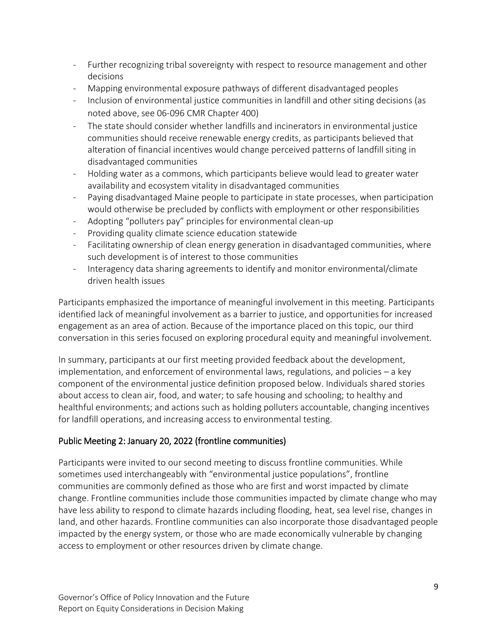- Further recognizing tribal sovereignty with respect to resource management and other decisions
- Mapping environmental exposure pathways of different disadvantaged peoples
- Inclusion of environmental justice communities in landfill and other siting decisions (as noted above, see 06-096 CMR Chapter 400)
- The state should consider whether landfills and incinerators in environmental justice communities should receive renewable energy credits, as participants believed that alteration of financial incentives would change perceived patterns of landfill siting in disadvantaged communities
- Holding water as a commons, which participants believe would lead to greater water availability and ecosystem vitality in disadvantaged communities
- Paying disadvantaged Maine people to participate in state processes, when participation would otherwise be precluded by conflicts with employment or other responsibilities
- Adopting "polluters pay" principles for environmental clean-up
- Providing quality climate science education statewide
- Facilitating ownership of clean energy generation in disadvantaged communities, where such development is of interest to those communities
- Interagency data sharing agreements to identify and monitor environmental/climate driven health issues

Participants emphasized the importance of meaningful involvement in this meeting. Participants identified lack of meaningful involvement as a barrier to justice, and opportunities for increased engagement as an area of action. Because of the importance placed on this topic, our third conversation in this series focused on exploring procedural equity and meaningful involvement.

In summary, participants at our first meeting provided feedback about the development, implementation, and enforcement of environmental laws, regulations, and policies – a key component of the environmental justice definition proposed below. Individuals shared stories about access to clean air, food, and water; to safe housing and schooling; to healthy and healthful environments; and actions such as holding polluters accountable, changing incentives for landfill operations, and increasing access to environmental testing.

# Public Meeting 2: January 20, 2022 (frontline communities)

Participants were invited to our second meeting to discuss frontline communities. While sometimes used interchangeably with "environmental justice populations", frontline communities are commonly defined as those who are first and worst impacted by climate change. Frontline communities include those communities impacted by climate change who may have less ability to respond to climate hazards including flooding, heat, sea level rise, changes in land, and other hazards. Frontline communities can also incorporate those disadvantaged people impacted by the energy system, or those who are made economically vulnerable by changing access to employment or other resources driven by climate change.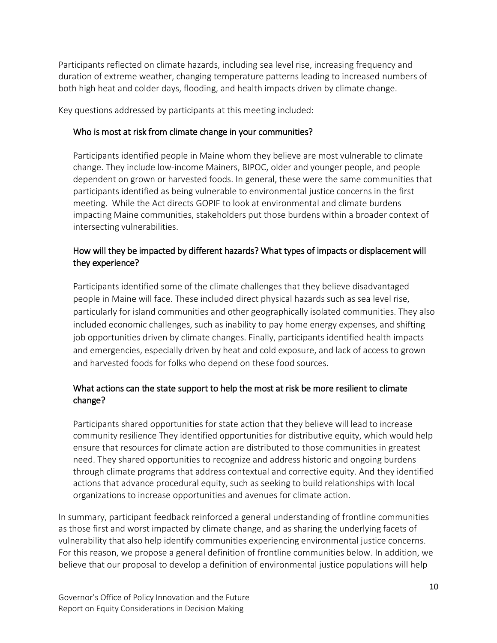Participants reflected on climate hazards, including sea level rise, increasing frequency and duration of extreme weather, changing temperature patterns leading to increased numbers of both high heat and colder days, flooding, and health impacts driven by climate change.

Key questions addressed by participants at this meeting included:

### Who is most at risk from climate change in your communities?

Participants identified people in Maine whom they believe are most vulnerable to climate change. They include low-income Mainers, BIPOC, older and younger people, and people dependent on grown or harvested foods. In general, these were the same communities that participants identified as being vulnerable to environmental justice concerns in the first meeting. While the Act directs GOPIF to look at environmental and climate burdens impacting Maine communities, stakeholders put those burdens within a broader context of intersecting vulnerabilities.

# How will they be impacted by different hazards? What types of impacts or displacement will they experience?

Participants identified some of the climate challenges that they believe disadvantaged people in Maine will face. These included direct physical hazards such as sea level rise, particularly for island communities and other geographically isolated communities. They also included economic challenges, such as inability to pay home energy expenses, and shifting job opportunities driven by climate changes. Finally, participants identified health impacts and emergencies, especially driven by heat and cold exposure, and lack of access to grown and harvested foods for folks who depend on these food sources.

# What actions can the state support to help the most at risk be more resilient to climate change?

Participants shared opportunities for state action that they believe will lead to increase community resilience They identified opportunities for distributive equity, which would help ensure that resources for climate action are distributed to those communities in greatest need. They shared opportunities to recognize and address historic and ongoing burdens through climate programs that address contextual and corrective equity. And they identified actions that advance procedural equity, such as seeking to build relationships with local organizations to increase opportunities and avenues for climate action.

In summary, participant feedback reinforced a general understanding of frontline communities as those first and worst impacted by climate change, and as sharing the underlying facets of vulnerability that also help identify communities experiencing environmental justice concerns. For this reason, we propose a general definition of frontline communities below. In addition, we believe that our proposal to develop a definition of environmental justice populations will help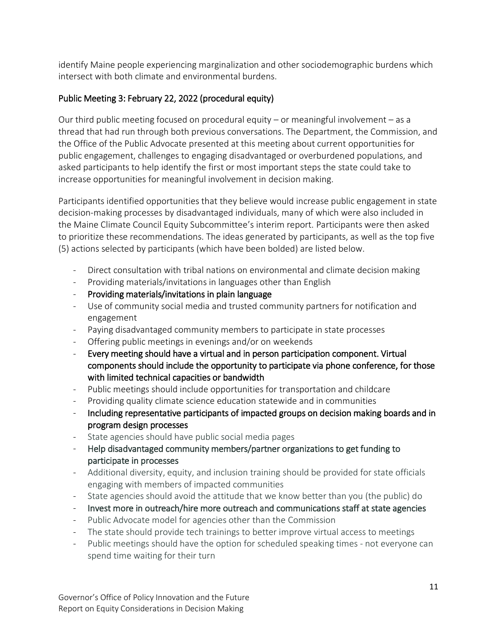identify Maine people experiencing marginalization and other sociodemographic burdens which intersect with both climate and environmental burdens.

# Public Meeting 3: February 22, 2022 (procedural equity)

Our third public meeting focused on procedural equity – or meaningful involvement – as a thread that had run through both previous conversations. The Department, the Commission, and the Office of the Public Advocate presented at this meeting about current opportunities for public engagement, challenges to engaging disadvantaged or overburdened populations, and asked participants to help identify the first or most important steps the state could take to increase opportunities for meaningful involvement in decision making.

Participants identified opportunities that they believe would increase public engagement in state decision-making processes by disadvantaged individuals, many of which were also included in the Maine Climate Council Equity Subcommittee's interim report. Participants were then asked to prioritize these recommendations. The ideas generated by participants, as well as the top five (5) actions selected by participants (which have been bolded) are listed below.

- Direct consultation with tribal nations on environmental and climate decision making
- Providing materials/invitations in languages other than English
- Providing materials/invitations in plain language
- Use of community social media and trusted community partners for notification and engagement
- Paying disadvantaged community members to participate in state processes
- Offering public meetings in evenings and/or on weekends
- Every meeting should have a virtual and in person participation component. Virtual components should include the opportunity to participate via phone conference, for those with limited technical capacities or bandwidth
- Public meetings should include opportunities for transportation and childcare
- Providing quality climate science education statewide and in communities
- Including representative participants of impacted groups on decision making boards and in program design processes
- State agencies should have public social media pages
- Help disadvantaged community members/partner organizations to get funding to participate in processes
- Additional diversity, equity, and inclusion training should be provided for state officials engaging with members of impacted communities
- State agencies should avoid the attitude that we know better than you (the public) do
- Invest more in outreach/hire more outreach and communications staff at state agencies
- Public Advocate model for agencies other than the Commission
- The state should provide tech trainings to better improve virtual access to meetings
- Public meetings should have the option for scheduled speaking times not everyone can spend time waiting for their turn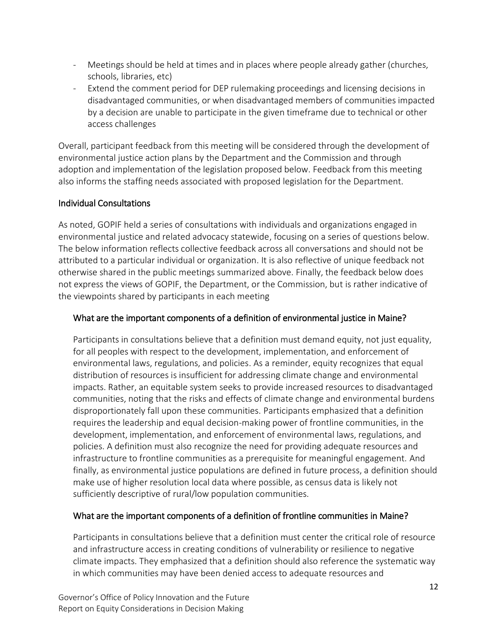- Meetings should be held at times and in places where people already gather (churches, schools, libraries, etc)
- Extend the comment period for DEP rulemaking proceedings and licensing decisions in disadvantaged communities, or when disadvantaged members of communities impacted by a decision are unable to participate in the given timeframe due to technical or other access challenges

Overall, participant feedback from this meeting will be considered through the development of environmental justice action plans by the Department and the Commission and through adoption and implementation of the legislation proposed below. Feedback from this meeting also informs the staffing needs associated with proposed legislation for the Department.

## Individual Consultations

As noted, GOPIF held a series of consultations with individuals and organizations engaged in environmental justice and related advocacy statewide, focusing on a series of questions below. The below information reflects collective feedback across all conversations and should not be attributed to a particular individual or organization. It is also reflective of unique feedback not otherwise shared in the public meetings summarized above. Finally, the feedback below does not express the views of GOPIF, the Department, or the Commission, but is rather indicative of the viewpoints shared by participants in each meeting

## What are the important components of a definition of environmental justice in Maine?

Participants in consultations believe that a definition must demand equity, not just equality, for all peoples with respect to the development, implementation, and enforcement of environmental laws, regulations, and policies. As a reminder, equity recognizes that equal distribution of resources is insufficient for addressing climate change and environmental impacts. Rather, an equitable system seeks to provide increased resources to disadvantaged communities, noting that the risks and effects of climate change and environmental burdens disproportionately fall upon these communities. Participants emphasized that a definition requires the leadership and equal decision-making power of frontline communities, in the development, implementation, and enforcement of environmental laws, regulations, and policies. A definition must also recognize the need for providing adequate resources and infrastructure to frontline communities as a prerequisite for meaningful engagement. And finally, as environmental justice populations are defined in future process, a definition should make use of higher resolution local data where possible, as census data is likely not sufficiently descriptive of rural/low population communities.

### What are the important components of a definition of frontline communities in Maine?

Participants in consultations believe that a definition must center the critical role of resource and infrastructure access in creating conditions of vulnerability or resilience to negative climate impacts. They emphasized that a definition should also reference the systematic way in which communities may have been denied access to adequate resources and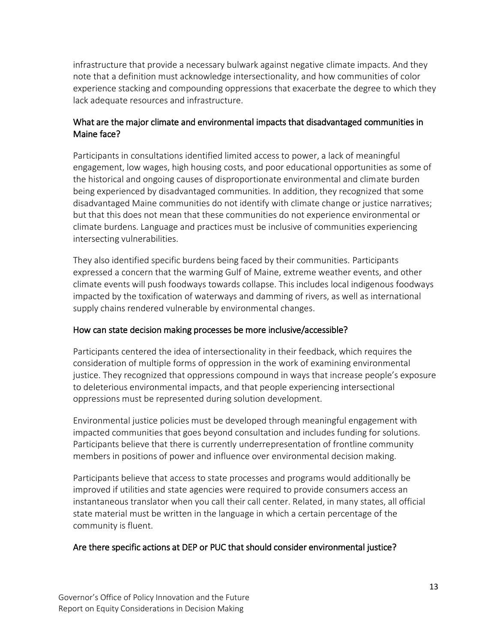infrastructure that provide a necessary bulwark against negative climate impacts. And they note that a definition must acknowledge intersectionality, and how communities of color experience stacking and compounding oppressions that exacerbate the degree to which they lack adequate resources and infrastructure.

### What are the major climate and environmental impacts that disadvantaged communities in Maine face?

Participants in consultations identified limited access to power, a lack of meaningful engagement, low wages, high housing costs, and poor educational opportunities as some of the historical and ongoing causes of disproportionate environmental and climate burden being experienced by disadvantaged communities. In addition, they recognized that some disadvantaged Maine communities do not identify with climate change or justice narratives; but that this does not mean that these communities do not experience environmental or climate burdens. Language and practices must be inclusive of communities experiencing intersecting vulnerabilities.

They also identified specific burdens being faced by their communities. Participants expressed a concern that the warming Gulf of Maine, extreme weather events, and other climate events will push foodways towards collapse. This includes local indigenous foodways impacted by the toxification of waterways and damming of rivers, as well as international supply chains rendered vulnerable by environmental changes.

### How can state decision making processes be more inclusive/accessible?

Participants centered the idea of intersectionality in their feedback, which requires the consideration of multiple forms of oppression in the work of examining environmental justice. They recognized that oppressions compound in ways that increase people's exposure to deleterious environmental impacts, and that people experiencing intersectional oppressions must be represented during solution development.

Environmental justice policies must be developed through meaningful engagement with impacted communities that goes beyond consultation and includes funding for solutions. Participants believe that there is currently underrepresentation of frontline community members in positions of power and influence over environmental decision making.

Participants believe that access to state processes and programs would additionally be improved if utilities and state agencies were required to provide consumers access an instantaneous translator when you call their call center. Related, in many states, all official state material must be written in the language in which a certain percentage of the community is fluent.

### Are there specific actions at DEP or PUC that should consider environmental justice?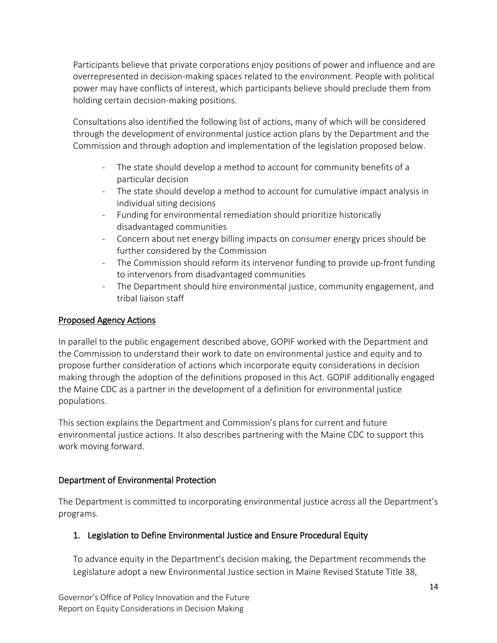Participants believe that private corporations enjoy positions of power and influence and are overrepresented in decision-making spaces related to the environment. People with political power may have conflicts of interest, which participants believe should preclude them from holding certain decision-making positions.

Consultations also identified the following list of actions, many of which will be considered through the development of environmental justice action plans by the Department and the Commission and through adoption and implementation of the legislation proposed below.

- The state should develop a method to account for community benefits of a particular decision
- The state should develop a method to account for cumulative impact analysis in individual siting decisions
- Funding for environmental remediation should prioritize historically disadvantaged communities
- Concern about net energy billing impacts on consumer energy prices should be further considered by the Commission
- The Commission should reform its intervenor funding to provide up-front funding to intervenors from disadvantaged communities
- The Department should hire environmental justice, community engagement, and tribal liaison staff

## Proposed Agency Actions

In parallel to the public engagement described above, GOPIF worked with the Department and the Commission to understand their work to date on environmental justice and equity and to propose further consideration of actions which incorporate equity considerations in decision making through the adoption of the definitions proposed in this Act. GOPIF additionally engaged the Maine CDC as a partner in the development of a definition for environmental justice populations.

This section explains the Department and Commission's plans for current and future environmental justice actions. It also describes partnering with the Maine CDC to support this work moving forward.

### Department of Environmental Protection

The Department is committed to incorporating environmental justice across all the Department's programs.

# 1. Legislation to Define Environmental Justice and Ensure Procedural Equity

To advance equity in the Department's decision making, the Department recommends the Legislature adopt a new Environmental Justice section in Maine Revised Statute Title 38,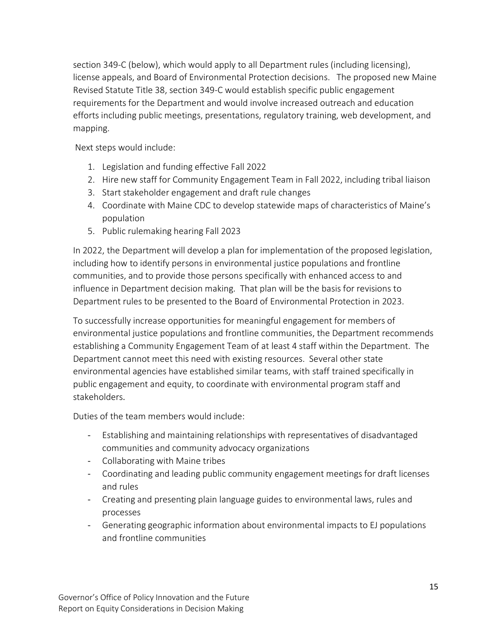section 349-C (below), which would apply to all Department rules (including licensing), license appeals, and Board of Environmental Protection decisions. The proposed new Maine Revised Statute Title 38, section 349-C would establish specific public engagement requirements for the Department and would involve increased outreach and education efforts including public meetings, presentations, regulatory training, web development, and mapping.

Next steps would include:

- 1. Legislation and funding effective Fall 2022
- 2. Hire new staff for Community Engagement Team in Fall 2022, including tribal liaison
- 3. Start stakeholder engagement and draft rule changes
- 4. Coordinate with Maine CDC to develop statewide maps of characteristics of Maine's population
- 5. Public rulemaking hearing Fall 2023

In 2022, the Department will develop a plan for implementation of the proposed legislation, including how to identify persons in environmental justice populations and frontline communities, and to provide those persons specifically with enhanced access to and influence in Department decision making. That plan will be the basis for revisions to Department rules to be presented to the Board of Environmental Protection in 2023.

To successfully increase opportunities for meaningful engagement for members of environmental justice populations and frontline communities, the Department recommends establishing a Community Engagement Team of at least 4 staff within the Department. The Department cannot meet this need with existing resources. Several other state environmental agencies have established similar teams, with staff trained specifically in public engagement and equity, to coordinate with environmental program staff and stakeholders.

Duties of the team members would include:

- Establishing and maintaining relationships with representatives of disadvantaged communities and community advocacy organizations
- Collaborating with Maine tribes
- Coordinating and leading public community engagement meetings for draft licenses and rules
- Creating and presenting plain language guides to environmental laws, rules and processes
- Generating geographic information about environmental impacts to EJ populations and frontline communities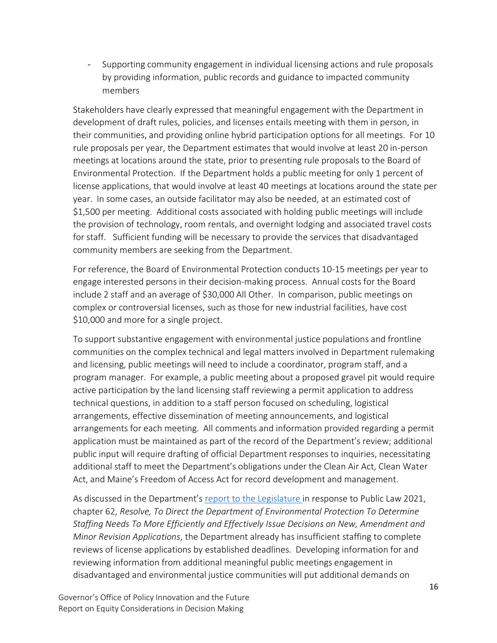- Supporting community engagement in individual licensing actions and rule proposals by providing information, public records and guidance to impacted community members

Stakeholders have clearly expressed that meaningful engagement with the Department in development of draft rules, policies, and licenses entails meeting with them in person, in their communities, and providing online hybrid participation options for all meetings. For 10 rule proposals per year, the Department estimates that would involve at least 20 in-person meetings at locations around the state, prior to presenting rule proposals to the Board of Environmental Protection. If the Department holds a public meeting for only 1 percent of license applications, that would involve at least 40 meetings at locations around the state per year. In some cases, an outside facilitator may also be needed, at an estimated cost of \$1,500 per meeting. Additional costs associated with holding public meetings will include the provision of technology, room rentals, and overnight lodging and associated travel costs for staff. Sufficient funding will be necessary to provide the services that disadvantaged community members are seeking from the Department.

For reference, the Board of Environmental Protection conducts 10-15 meetings per year to engage interested persons in their decision-making process. Annual costs for the Board include 2 staff and an average of \$30,000 All Other. In comparison, public meetings on complex or controversial licenses, such as those for new industrial facilities, have cost \$10,000 and more for a single project.

To support substantive engagement with environmental justice populations and frontline communities on the complex technical and legal matters involved in Department rulemaking and licensing, public meetings will need to include a coordinator, program staff, and a program manager. For example, a public meeting about a proposed gravel pit would require active participation by the land licensing staff reviewing a permit application to address technical questions, in addition to a staff person focused on scheduling, logistical arrangements, effective dissemination of meeting announcements, and logistical arrangements for each meeting. All comments and information provided regarding a permit application must be maintained as part of the record of the Department's review; additional public input will require drafting of official Department responses to inquiries, necessitating additional staff to meet the Department's obligations under the Clean Air Act, Clean Water Act, and Maine's Freedom of Access Act for record development and management.

As discussed in the Department's [report to the Legislature in response to Public Law 2021,](https://www.maine.gov/tools/whatsnew/attach.php?id=5926701&an=1) [chapter 62,](https://www.maine.gov/tools/whatsnew/attach.php?id=5926701&an=1) *Resolve, To Direct the Department of Environmental Protection To Determine Staffing Needs To More Efficiently and Effectively Issue Decisions on New, Amendment and Minor Revision Applications*, the Department already has insufficient staffing to complete reviews of license applications by established deadlines. Developing information for and reviewing information from additional meaningful public meetings engagement in disadvantaged and environmental justice communities will put additional demands on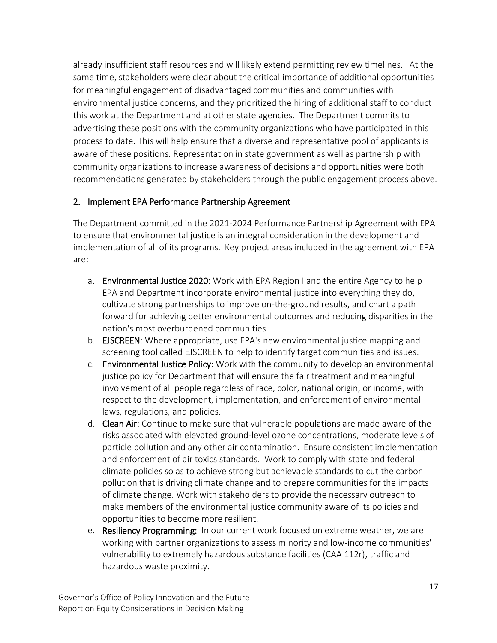already insufficient staff resources and will likely extend permitting review timelines. At the same time, stakeholders were clear about the critical importance of additional opportunities for meaningful engagement of disadvantaged communities and communities with environmental justice concerns, and they prioritized the hiring of additional staff to conduct this work at the Department and at other state agencies. The Department commits to advertising these positions with the community organizations who have participated in this process to date. This will help ensure that a diverse and representative pool of applicants is aware of these positions. Representation in state government as well as partnership with community organizations to increase awareness of decisions and opportunities were both recommendations generated by stakeholders through the public engagement process above.

## 2. Implement EPA Performance Partnership Agreement

The Department committed in the 2021-2024 Performance Partnership Agreement with EPA to ensure that environmental justice is an integral consideration in the development and implementation of all of its programs. Key project areas included in the agreement with EPA are:

- a. Environmental Justice 2020: Work with EPA Region I and the entire Agency to help EPA and Department incorporate environmental justice into everything they do, cultivate strong partnerships to improve on-the-ground results, and chart a path forward for achieving better environmental outcomes and reducing disparities in the nation's most overburdened communities.
- b. EJSCREEN: Where appropriate, use EPA's new environmental justice mapping and screening tool called EJSCREEN to help to identify target communities and issues.
- c. Environmental Justice Policy: Work with the community to develop an environmental justice policy for Department that will ensure the fair treatment and meaningful involvement of all people regardless of race, color, national origin, or income, with respect to the development, implementation, and enforcement of environmental laws, regulations, and policies.
- d. Clean Air: Continue to make sure that vulnerable populations are made aware of the risks associated with elevated ground-level ozone concentrations, moderate levels of particle pollution and any other air contamination. Ensure consistent implementation and enforcement of air toxics standards. Work to comply with state and federal climate policies so as to achieve strong but achievable standards to cut the carbon pollution that is driving climate change and to prepare communities for the impacts of climate change. Work with stakeholders to provide the necessary outreach to make members of the environmental justice community aware of its policies and opportunities to become more resilient.
- e. Resiliency Programming: In our current work focused on extreme weather, we are working with partner organizations to assess minority and low-income communities' vulnerability to extremely hazardous substance facilities (CAA 112r), traffic and hazardous waste proximity.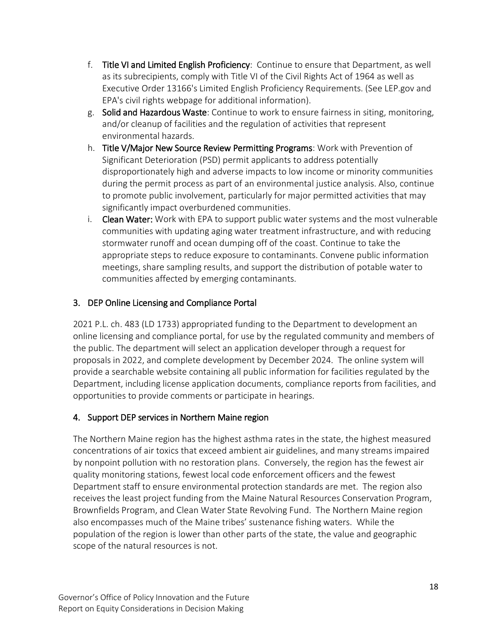- f. Title VI and Limited English Proficiency: Continue to ensure that Department, as well as its subrecipients, comply with Title VI of the Civil Rights Act of 1964 as well as Executive Order 13166's Limited English Proficiency Requirements. (See LEP.gov and EPA's civil rights webpage for additional information).
- g. Solid and Hazardous Waste: Continue to work to ensure fairness in siting, monitoring, and/or cleanup of facilities and the regulation of activities that represent environmental hazards.
- h. Title V/Major New Source Review Permitting Programs: Work with Prevention of Significant Deterioration (PSD) permit applicants to address potentially disproportionately high and adverse impacts to low income or minority communities during the permit process as part of an environmental justice analysis. Also, continue to promote public involvement, particularly for major permitted activities that may significantly impact overburdened communities.
- i. Clean Water: Work with EPA to support public water systems and the most vulnerable communities with updating aging water treatment infrastructure, and with reducing stormwater runoff and ocean dumping off of the coast. Continue to take the appropriate steps to reduce exposure to contaminants. Convene public information meetings, share sampling results, and support the distribution of potable water to communities affected by emerging contaminants.

# 3. DEP Online Licensing and Compliance Portal

2021 P.L. ch. 483 (LD 1733) appropriated funding to the Department to development an online licensing and compliance portal, for use by the regulated community and members of the public. The department will select an application developer through a request for proposals in 2022, and complete development by December 2024. The online system will provide a searchable website containing all public information for facilities regulated by the Department, including license application documents, compliance reports from facilities, and opportunities to provide comments or participate in hearings.

# 4. Support DEP services in Northern Maine region

The Northern Maine region has the highest asthma rates in the state, the highest measured concentrations of air toxics that exceed ambient air guidelines, and many streams impaired by nonpoint pollution with no restoration plans. Conversely, the region has the fewest air quality monitoring stations, fewest local code enforcement officers and the fewest Department staff to ensure environmental protection standards are met. The region also receives the least project funding from the Maine Natural Resources Conservation Program, Brownfields Program, and Clean Water State Revolving Fund. The Northern Maine region also encompasses much of the Maine tribes' sustenance fishing waters. While the population of the region is lower than other parts of the state, the value and geographic scope of the natural resources is not.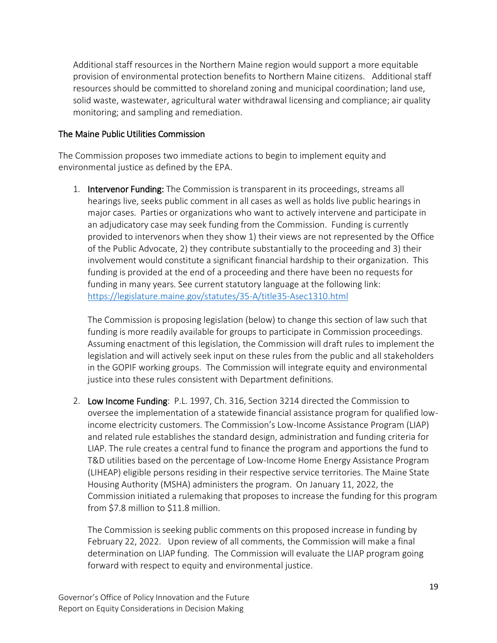Additional staff resources in the Northern Maine region would support a more equitable provision of environmental protection benefits to Northern Maine citizens. Additional staff resources should be committed to shoreland zoning and municipal coordination; land use, solid waste, wastewater, agricultural water withdrawal licensing and compliance; air quality monitoring; and sampling and remediation.

### The Maine Public Utilities Commission

The Commission proposes two immediate actions to begin to implement equity and environmental justice as defined by the EPA.

1. Intervenor Funding: The Commission is transparent in its proceedings, streams all hearings live, seeks public comment in all cases as well as holds live public hearings in major cases. Parties or organizations who want to actively intervene and participate in an adjudicatory case may seek funding from the Commission. Funding is currently provided to intervenors when they show 1) their views are not represented by the Office of the Public Advocate, 2) they contribute substantially to the proceeding and 3) their involvement would constitute a significant financial hardship to their organization. This funding is provided at the end of a proceeding and there have been no requests for funding in many years. See current statutory language at the following link: <https://legislature.maine.gov/statutes/35-A/title35-Asec1310.html>

The Commission is proposing legislation (below) to change this section of law such that funding is more readily available for groups to participate in Commission proceedings. Assuming enactment of this legislation, the Commission will draft rules to implement the legislation and will actively seek input on these rules from the public and all stakeholders in the GOPIF working groups. The Commission will integrate equity and environmental justice into these rules consistent with Department definitions.

2. Low Income Funding: P.L. 1997, Ch. 316, Section 3214 directed the Commission to oversee the implementation of a statewide financial assistance program for qualified lowincome electricity customers. The Commission's Low-Income Assistance Program (LIAP) and related rule establishes the standard design, administration and funding criteria for LIAP. The rule creates a central fund to finance the program and apportions the fund to T&D utilities based on the percentage of Low-Income Home Energy Assistance Program (LIHEAP) eligible persons residing in their respective service territories. The Maine State Housing Authority (MSHA) administers the program. On January 11, 2022, the Commission initiated a rulemaking that proposes to increase the funding for this program from \$7.8 million to \$11.8 million.

The Commission is seeking public comments on this proposed increase in funding by February 22, 2022. Upon review of all comments, the Commission will make a final determination on LIAP funding. The Commission will evaluate the LIAP program going forward with respect to equity and environmental justice.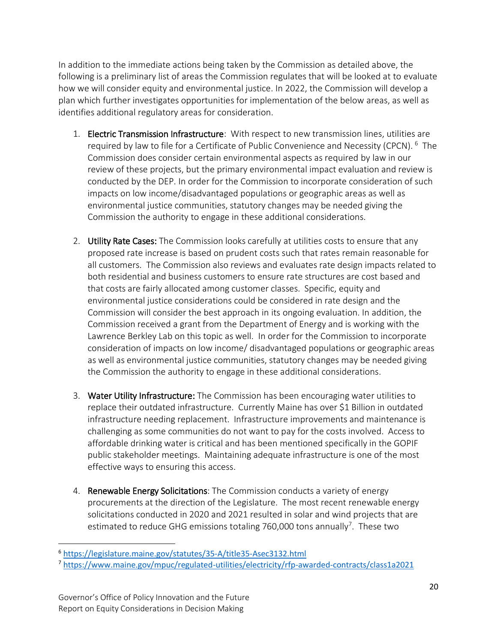In addition to the immediate actions being taken by the Commission as detailed above, the following is a preliminary list of areas the Commission regulates that will be looked at to evaluate how we will consider equity and environmental justice. In 2022, the Commission will develop a plan which further investigates opportunities for implementation of the below areas, as well as identifies additional regulatory areas for consideration.

- 1. Electric Transmission Infrastructure: With respect to new transmission lines, utilities are required by law to file for a Certificate of Public Convenience and Necessity (CPCN). <sup>6</sup> The Commission does consider certain environmental aspects as required by law in our review of these projects, but the primary environmental impact evaluation and review is conducted by the DEP. In order for the Commission to incorporate consideration of such impacts on low income/disadvantaged populations or geographic areas as well as environmental justice communities, statutory changes may be needed giving the Commission the authority to engage in these additional considerations.
- 2. Utility Rate Cases: The Commission looks carefully at utilities costs to ensure that any proposed rate increase is based on prudent costs such that rates remain reasonable for all customers. The Commission also reviews and evaluates rate design impacts related to both residential and business customers to ensure rate structures are cost based and that costs are fairly allocated among customer classes. Specific, equity and environmental justice considerations could be considered in rate design and the Commission will consider the best approach in its ongoing evaluation. In addition, the Commission received a grant from the Department of Energy and is working with the Lawrence Berkley Lab on this topic as well. In order for the Commission to incorporate consideration of impacts on low income/ disadvantaged populations or geographic areas as well as environmental justice communities, statutory changes may be needed giving the Commission the authority to engage in these additional considerations.
- 3. Water Utility Infrastructure: The Commission has been encouraging water utilities to replace their outdated infrastructure. Currently Maine has over \$1 Billion in outdated infrastructure needing replacement. Infrastructure improvements and maintenance is challenging as some communities do not want to pay for the costs involved. Access to affordable drinking water is critical and has been mentioned specifically in the GOPIF public stakeholder meetings. Maintaining adequate infrastructure is one of the most effective ways to ensuring this access.
- 4. Renewable Energy Solicitations: The Commission conducts a variety of energy procurements at the direction of the Legislature. The most recent renewable energy solicitations conducted in 2020 and 2021 resulted in solar and wind projects that are estimated to reduce GHG emissions totaling 760,000 tons annually<sup>7</sup>. These two

 $\overline{a}$ 

<sup>6</sup> <https://legislature.maine.gov/statutes/35-A/title35-Asec3132.html>

<sup>7</sup> <https://www.maine.gov/mpuc/regulated-utilities/electricity/rfp-awarded-contracts/class1a2021>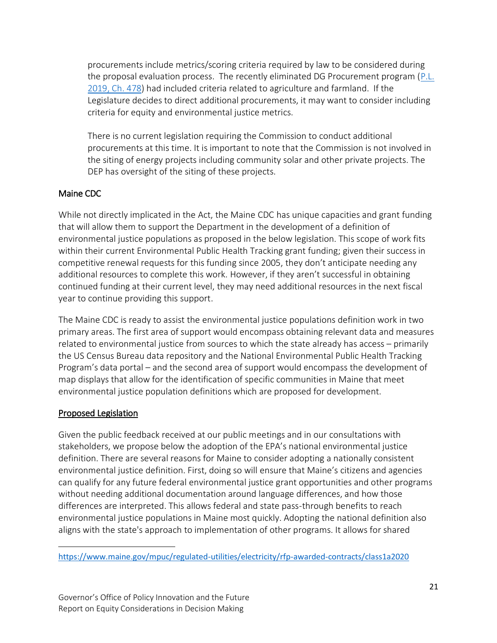procurements include metrics/scoring criteria required by law to be considered during the proposal evaluation process. The recently eliminated DG Procurement program (P.L. [2019, Ch. 478\)](https://www.maine.gov/mpuc/electricity/rfps/dg-procurement/documents/PL2019Chapter478.pdf) had included criteria related to agriculture and farmland. If the Legislature decides to direct additional procurements, it may want to consider including criteria for equity and environmental justice metrics.

There is no current legislation requiring the Commission to conduct additional procurements at this time. It is important to note that the Commission is not involved in the siting of energy projects including community solar and other private projects. The DEP has oversight of the siting of these projects.

# Maine CDC

While not directly implicated in the Act, the Maine CDC has unique capacities and grant funding that will allow them to support the Department in the development of a definition of environmental justice populations as proposed in the below legislation. This scope of work fits within their current Environmental Public Health Tracking grant funding; given their success in competitive renewal requests for this funding since 2005, they don't anticipate needing any additional resources to complete this work. However, if they aren't successful in obtaining continued funding at their current level, they may need additional resources in the next fiscal year to continue providing this support.

The Maine CDC is ready to assist the environmental justice populations definition work in two primary areas. The first area of support would encompass obtaining relevant data and measures related to environmental justice from sources to which the state already has access – primarily the US Census Bureau data repository and the National Environmental Public Health Tracking Program's data portal – and the second area of support would encompass the development of map displays that allow for the identification of specific communities in Maine that meet environmental justice population definitions which are proposed for development.

### Proposed Legislation

Given the public feedback received at our public meetings and in our consultations with stakeholders, we propose below the adoption of the EPA's national environmental justice definition. There are several reasons for Maine to consider adopting a nationally consistent environmental justice definition. First, doing so will ensure that Maine's citizens and agencies can qualify for any future federal environmental justice grant opportunities and other programs without needing additional documentation around language differences, and how those differences are interpreted. This allows federal and state pass-through benefits to reach environmental justice populations in Maine most quickly. Adopting the national definition also aligns with the state's approach to implementation of other programs. It allows for shared

 $\overline{a}$ <https://www.maine.gov/mpuc/regulated-utilities/electricity/rfp-awarded-contracts/class1a2020>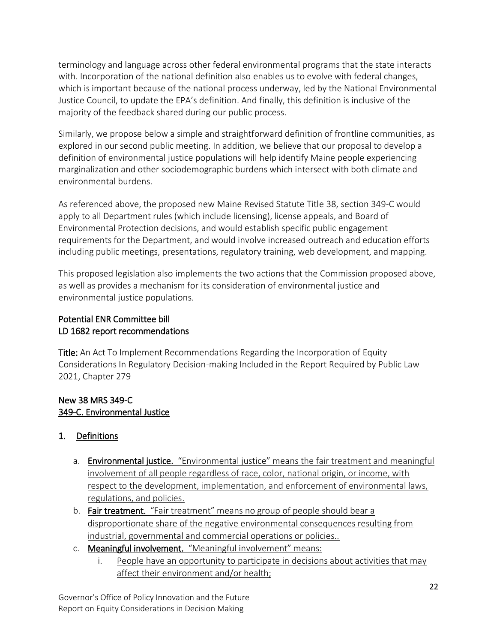terminology and language across other federal environmental programs that the state interacts with. Incorporation of the national definition also enables us to evolve with federal changes, which is important because of the national process underway, led by the National Environmental Justice Council, to update the EPA's definition. And finally, this definition is inclusive of the majority of the feedback shared during our public process.

Similarly, we propose below a simple and straightforward definition of frontline communities, as explored in our second public meeting. In addition, we believe that our proposal to develop a definition of environmental justice populations will help identify Maine people experiencing marginalization and other sociodemographic burdens which intersect with both climate and environmental burdens.

As referenced above, the proposed new Maine Revised Statute Title 38, section 349-C would apply to all Department rules (which include licensing), license appeals, and Board of Environmental Protection decisions, and would establish specific public engagement requirements for the Department, and would involve increased outreach and education efforts including public meetings, presentations, regulatory training, web development, and mapping.

This proposed legislation also implements the two actions that the Commission proposed above, as well as provides a mechanism for its consideration of environmental justice and environmental justice populations.

# Potential ENR Committee bill LD 1682 report recommendations

Title: An Act To Implement Recommendations Regarding the Incorporation of Equity Considerations In Regulatory Decision-making Included in the Report Required by Public Law 2021, Chapter 279

## New 38 MRS 349-C 349-C. Environmental Justice

# 1. Definitions

- a. Environmental justice. "Environmental justice" means the fair treatment and meaningful involvement of all people regardless of race, color, national origin, or income, with respect to the development, implementation, and enforcement of environmental laws, regulations, and policies.
- b. Fair treatment. "Fair treatment" means no group of people should bear a disproportionate share of the negative environmental consequences resulting from industrial, governmental and commercial operations or policies..
- c. Meaningful involvement. "Meaningful involvement" means:
	- i. People have an opportunity to participate in decisions about activities that may affect their environment and/or health;

Governor's Office of Policy Innovation and the Future Report on Equity Considerations in Decision Making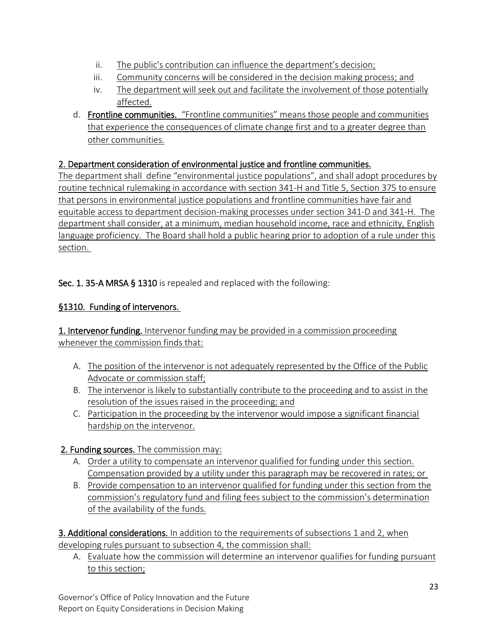- ii. The public's contribution can influence the department's decision;
- iii. Community concerns will be considered in the decision making process; and
- iv. The department will seek out and facilitate the involvement of those potentially affected.
- d. Frontline communities. "Frontline communities" means those people and communities that experience the consequences of climate change first and to a greater degree than other communities.

# 2. Department consideration of environmental justice and frontline communities.

The department shall define "environmental justice populations", and shall adopt procedures by routine technical rulemaking in accordance with section 341-H and Title 5, Section 375 to ensure that persons in environmental justice populations and frontline communities have fair and equitable access to department decision-making processes under section 341-D and 341-H. The department shall consider, at a minimum, median household income, race and ethnicity, English language proficiency. The Board shall hold a public hearing prior to adoption of a rule under this section.

Sec. 1. 35-A MRSA § 1310 is repealed and replaced with the following:

# §1310. Funding of intervenors.

1. Intervenor funding. Intervenor funding may be provided in a commission proceeding whenever the commission finds that:

- A. The position of the intervenor is not adequately represented by the Office of the Public Advocate or commission staff;
- B. The intervenor is likely to substantially contribute to the proceeding and to assist in the resolution of the issues raised in the proceeding; and
- C. Participation in the proceeding by the intervenor would impose a significant financial hardship on the intervenor.

# 2. Funding sources. The commission may:

- A. Order a utility to compensate an intervenor qualified for funding under this section. Compensation provided by a utility under this paragraph may be recovered in rates; or
- B. Provide compensation to an intervenor qualified for funding under this section from the commission's regulatory fund and filing fees subject to the commission's determination of the availability of the funds.

3. Additional considerations. In addition to the requirements of subsections 1 and 2, when developing rules pursuant to subsection 4, the commission shall:

A. Evaluate how the commission will determine an intervenor qualifies for funding pursuant to this section;

Governor's Office of Policy Innovation and the Future Report on Equity Considerations in Decision Making